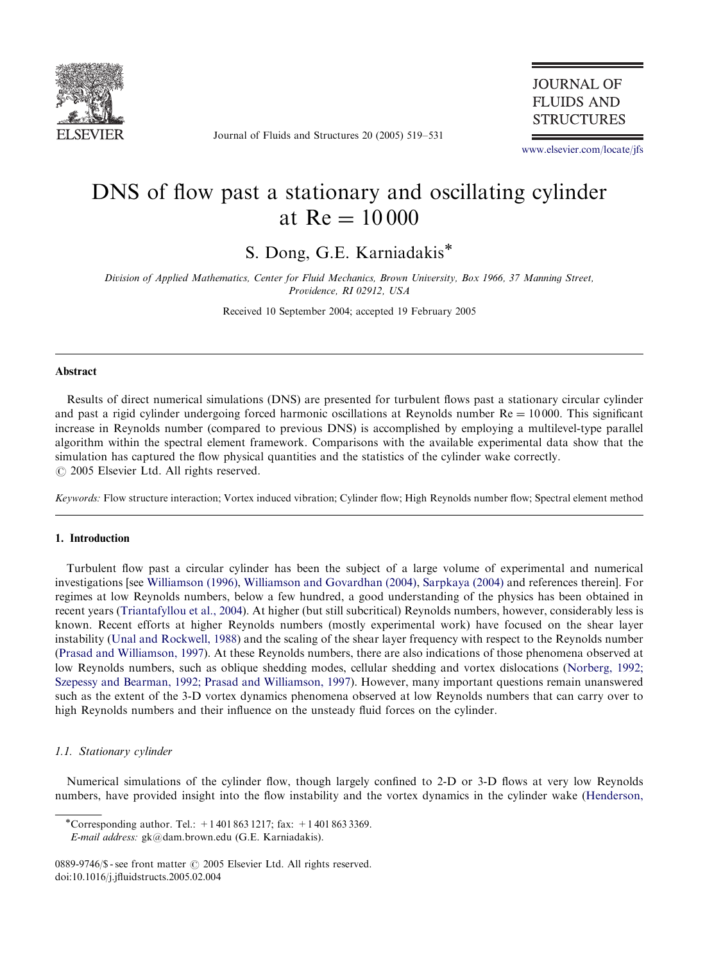

Journal of Fluids and Structures 20 (2005) 519–531

## **JOURNAL OF FLUIDS AND STRUCTURES**

www.elsevier.com/locate/jfs

# DNS of flow past a stationary and oscillating cylinder at  $Re = 10000$

S. Dong, G.E. Karniadakis

Division of Applied Mathematics, Center for Fluid Mechanics, Brown University, Box 1966, 37 Manning Street, Providence, RI 02912, USA

Received 10 September 2004; accepted 19 February 2005

## Abstract

Results of direct numerical simulations (DNS) are presented for turbulent flows past a stationary circular cylinder and past a rigid cylinder undergoing forced harmonic oscillations at Reynolds number  $Re = 10000$ . This significant increase in Reynolds number (compared to previous DNS) is accomplished by employinga multilevel-type parallel algorithm within the spectral element framework. Comparisons with the available experimental data show that the simulation has captured the flow physical quantities and the statistics of the cylinder wake correctly.  $\odot$  2005 Elsevier Ltd. All rights reserved.

Keywords: Flow structure interaction; Vortex induced vibration; Cylinder flow; High Reynolds number flow; Spectral element method

#### 1. Introducti[on](#page-12-0)

Turbulent flow past a circular cylinder has been the subject of a large volume of experimental and numerical investigations [see [Williamson](#page-12-0) [\(1996\)](#page-12-0), Williamson and Govardhan (2004), Sarpkaya (2004) and references therein]. For r[egimes](#page-11-0) [at](#page-11-0) [low](#page-11-0) [Reynolds](#page-11-0) [num](#page-11-0)bers, below a few hundred, a good understanding of the physics has been obtained in recent years (Triantafyllou et al., 2004). At higher (but still subcritical) Reynolds numbers, however, co[nsiderably](#page-11-0) [less](#page-11-0) [is](#page-11-0) [known.](#page-11-0) [Recent](#page-11-0) [efforts](#page-11-0) [at](#page-11-0) [higher](#page-11-0) [Reynolds](#page-11-0) [numbers](#page-11-0) [\(mos](#page-11-0)tly experimental work) have focused on the shear layer instability (Unal and Rockwell, 1988) and the scaling of the shear layer frequency with respect to the Reynolds number (Prasad and Williamson, 1997). At these Reynolds numbers, there are also indications of those phenomena observed at low Reynolds numbers, such as oblique shedding modes, cellular shedding and vortex dislocations (Norberg, 1992; Szepessy and Bearman, 1992; Prasad and Williamson, 1997). However, many important questions remain unanswered such as the extent of the 3-D vortex dynamics phenomena observed at low Reynolds numbers that can carry over to high Reynolds numbers and their influence on the unsteady fluid forces on the cylinder.

## 1.1. Stationary cylinder

Numerical simulations of the cylinder flow, though largely confined to 2-D or 3-D flows at very low Reynolds numbers, have provided insight into the flow instability and the vortex dynamics in the cylinder wake (Henderson,

<sup>\*</sup>Corresponding author. Tel.:  $+14018631217$ ; fax:  $+14018633369$ .

E-mail address: gk@dam.brown.edu (G.E. Karniadakis).

<sup>0889-9746/\$ -</sup> see front matter  $\odot$  2005 Elsevier Ltd. All rights reserved. doi:10.1016/j.jfluidstructs.2005.02.004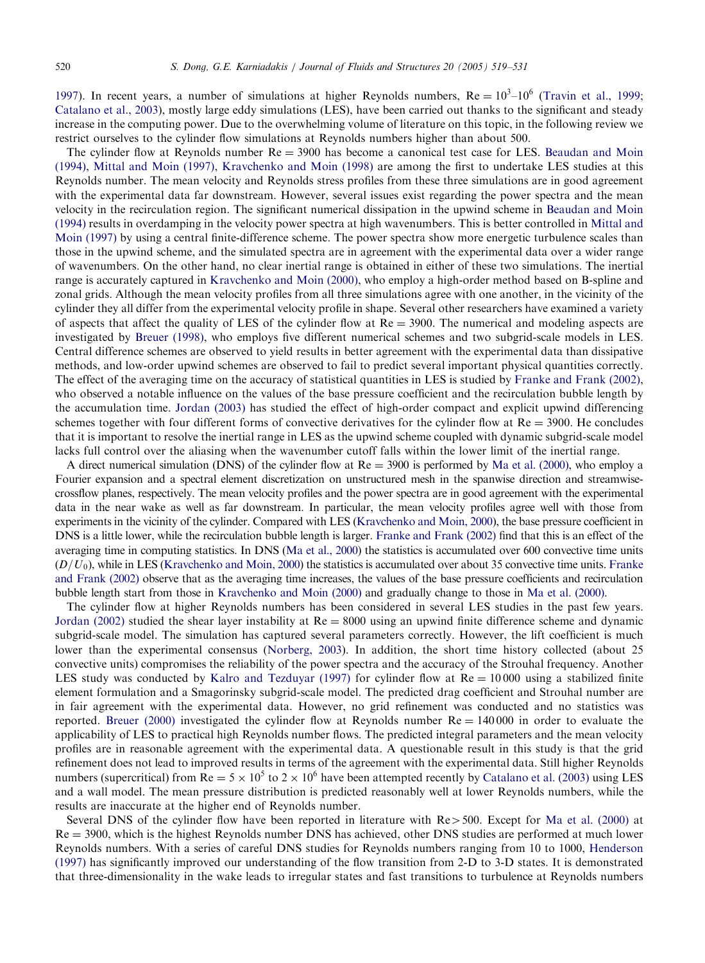1997). In recent years, a number of simulations at higher Reynolds numbers,  $Re = 10<sup>3</sup>-10<sup>6</sup>$  ([Travin](#page-10-0) [et](#page-10-0) [al.,](#page-10-0) [1999;](#page-10-0) [Catala](#page-10-0)[no](#page-11-0) [et](#page-11-0) [al.,](#page-11-0) [2003\),](#page-11-0) [mostly](#page-11-0) [large](#page-11-0) [eddy](#page-11-0) [simulations](#page-11-0) [\(LES\),](#page-11-0) [hav](#page-11-0)e been carried out thanks to the significant and steady increase in the computing power. Due to the overwhelming volume of literature on this topic, in the following review we restrict ourselves to the cylinder flow simulations at Reynolds numbers higher than about 500.

The cylinder flow at Reynolds number  $Re = 3900$  has become a canonical test case for LES. [Beaudan](#page-10-0) [and](#page-10-0) [Moin](#page-10-0) [\(1994\)](#page-10-0), Mittal and Moin (1997), Kravchenko and Moin (1998) are among the first to undertake LES stu[dies](#page-11-0) [at](#page-11-0) [this](#page-11-0) [Reynolds](#page-11-0) [nu](#page-11-0)mber. The mean velocity and Reynolds stress profiles from these three simulations are in good agreement with the experimental data far downstream. However, several issues exist regarding the power spectra and the mean velocity in the recirculation region. The significant numerical dissipation in the upwind scheme in Beaudan and Moin (1994) results in overdampingi[n](#page-11-0) [the](#page-11-0) [velocity](#page-11-0) [power](#page-11-0) [spectra](#page-11-0) [at](#page-11-0) high wavenumbers. This is better controlled in Mittal and Moin (1997) by usinga central finite-difference scheme. The power spectra show more energetic turbulence scales than those in the upwind scheme, and the simulated spectra are in agreement with the experimental data over a wider range of wavenumbers. On the other hand, no clear inertial range is obtained in either of these two simulations. The inertial range is accurat[ely](#page-10-0) [captured](#page-10-0) [in](#page-10-0) Kravchenko and Moin (2000), who employ a high-order method based on B-spline and zonal grids. Although the mean velocity profiles from all three simulations agree with one another, in the vicinity of the cylinder they all differ from the experimental velocity profile in shape. Several other researchers have examined a variety of aspects that affect the quality of LES of the cylinder flow at  $Re = 3900$ . The numerical [and](#page-11-0) modeling aspects [are](#page-11-0) investigated by Breuer (1998), who employs five different numerical schemes and two subgrid-scale models in LES. Central difference sche[mes](#page-11-0) [are](#page-11-0) [observe](#page-11-0)d to yield results in better agreement with the experimental data than dissipative methods, and low-order upwind schemes are observed to fail to predict several important physical quantities correctly. The effect of the averaging time on the accuracy of statistical quantities in LES is studied by Franke and Frank (2002), who observed a notable influence on the values of the base pressure coefficient and the recirculation bubble length by the accumulation time. Jordan (2003) has studied the effect of high-order compact a[nd](#page-11-0) [explicit](#page-11-0) [upwin](#page-11-0)d differencing schemes together with four different forms of convective derivatives for the cylinder flow at  $Re = 3900$ . He concludes that it is important to resolve the inertial range in LES as the upwind scheme coupled with dynamic subgrid-scale model lacks full control over the aliasing when the wavenumber cutoff falls within the lower limit of the inertial range.

A direct numerical simulation (DNS) of the cylinder flow at  $Re = 3900$  $Re = 3900$  [is](#page-11-0) [performed](#page-11-0) [by](#page-11-0) Ma et al. (2000), who employ a Fourier expansion and a spectral element discretization on unstr[uctured](#page-11-0) [mesh](#page-11-0) [in](#page-11-0) [the](#page-11-0) [spanw](#page-11-0)ise direction and streamwisecrossflow planes, respectively. The mean velocity [profiles](#page-11-0) [and](#page-11-0) [the](#page-11-0) power spectra are in good agreement with the experimental data in the near wak[e](#page-11-0) [as](#page-11-0) [well](#page-11-0) [as](#page-11-0) [far](#page-11-0) [downstream](#page-11-0). In particular, the mean velocity profiles agree well with tho[se](#page-11-0) [from](#page-11-0) [experiments](#page-11-0) [in](#page-11-0) [the](#page-11-0) vicinity of the cylinder. Compared with LES (Kravchenko and Moin, 2000), the base pressure coefficient in DNS is a little lower, while the rec[irculation](#page-11-0) [bubble](#page-11-0) [length](#page-11-0) [is](#page-11-0) [large](#page-11-0)r. Franke and Frank (2002) find t[hat](#page-11-0) [this](#page-11-0) [is](#page-11-0) [an](#page-11-0) [effec](#page-11-0)t of the averaging time in computing statistics. In DNS (Ma et al., 2000) the statistics is accumulated over 600 convective time units  $(D/U_0)$ , [while](#page-11-0) in LES (Kravchenko and Moin, 2000) the statistics is accumulated over about 35 convective time units. Franke and Frank (2002) observe that as the averaging time increases, the values of the base pressure coefficients and recirculation bubble length start from those in Kravchen[ko](#page-11-0) [and](#page-11-0) [Moin](#page-11-0) [\(20](#page-11-0)00) and gradually change to those in Ma et al. (2000).

The cylinder flow at higher [Reynolds numbers has been](#page-11-0) considered in several LES studies in the past few years. Jordan (2002) studied the shear layer instability at  $Re = 8000$  using an upwind finite difference scheme and dynamic subgrid-scale model. The simulation has captured several parameters correctly. However, the lift coefficient is much lower than the experimental consensus (Norberg, 2003). In addition, the short time history collected (about 25 convectiv[e](#page-11-0) [units\)](#page-11-0) [compro](#page-11-0)mises the reliability of the power spectra and the accuracy of the Strouhal frequency. Another LES study was conducted by Kalro and Tezduyar (1997) for cylinder flow at  $Re = 10000$  using a stabilized finite element formulation and a Smagorinsky subgrid-scale model. The predicted drag coefficient and Strouhal number are in fair agreement with the experimental data. However, no grid refinement was conducted and no statistics was reported. Breuer (2[000](#page-11-0)) [in](#page-11-0)vestigated the cylinder flow at Reynolds number  $Re = 140000$  $Re = 140000$  $Re = 140000$  in [order](#page-11-0) [to](#page-11-0) [ev](#page-11-0)aluate the applicability of LES to practical high Reynolds number flows. The predicted integral parameters and the mean velocity profiles are in reasonable agreement with the experimental data. A questionable result in this study is that the grid refinement does not lead to improved results in terms of the agreement with the experimental data. [Still](#page-11-0) [higher](#page-11-0) [Reynol](#page-11-0)ds numbers (supercritical) from  $Re = 5 \times 10^5$  to  $2 \times 10^6$  have been attempted recently by Catalano et al. (2003) using LES and a wall model. The mean pressure distribution is predicted reasonably well at lower Reynolds number[s,](#page-11-0) [while](#page-11-0) [the](#page-11-0) [results](#page-11-0) are inaccurate at the higher end of Reynolds number.

Several DNS of the cylinder flow have been reported in literature with  $Re > 500$ . Except for Ma et al. (2000) at Re = 3900, which is the highest Reynolds number DNS has achieved, other DNS studies are performed at much lower Reynolds numbers. With a series of careful DNS studies for Reynolds numbers ranging from 10 to 1000, Henderson (1997) has significantly improved our understanding of the flow transition from 2-D to 3-D states. It is demonstrated that three-dimensionality in the wake leads to irregular states and fast transitions to turbulence at Reynolds numbers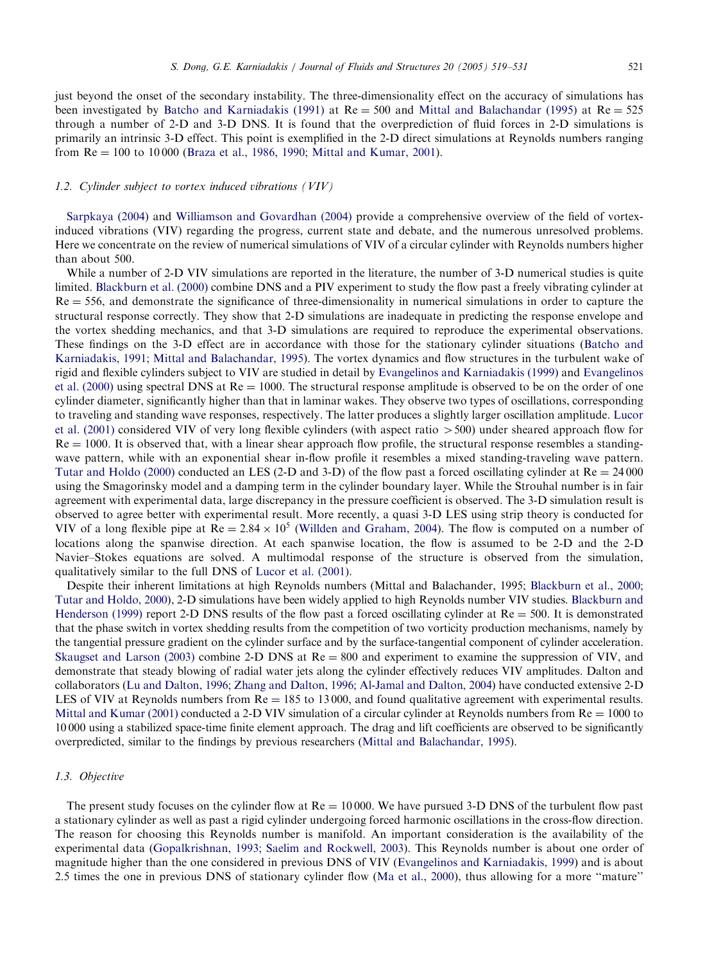just beyond the onset of t[he](#page-10-0) [secondary](#page-10-0) [instability.](#page-10-0) [The](#page-10-0) [three-dimensionality](#page-10-0) effect on the accuracy of simulations has been investigated by Batcho and Karniadakis (1991) at  $Re = 500$  and Mittal and Balachandar (1995) at  $Re = 525$ through a number of 2-D and 3-D DNS. It is found that the overprediction of fluid forces in 2-D simulations is primarily an intrinsic 3-D effect. This point is exemplified in the 2-D direct simulations at Reynolds numbers ranging from  $Re = 100$  to 1000[0 \(Braza et al., 1986, 1990; Mittal a](#page-12-0)nd Kumar, 2001).

## 1.2. Cylinder subject to vortex induced vibrations (VIV)

Sarpkaya (2004) and Williamson and Govardhan (2004) provide a comprehensive overview of the field of vortexinduced [vibrations](#page-10-0) [\(VIV\)](#page-10-0) [regar](#page-10-0)ding the progress, current state and debate, and the numerous unresolved problems. Here we concentrate on the review of numerical simulations of VIV of a circular cylinder with Reynolds numbers higher than about 500.

While a number of 2-D VIV simulations are reported in the literature, the number of 3-D numerical studies is quite limited. Blackburn et al. (2000) combine DNS and a PIV experiment to study the flow past a freely vibr[at](#page-10-0)ing cylinder at  $Re = 556$ , [and](#page-10-0) [demonstrate](#page-10-0) [the](#page-10-0) [significance](#page-10-0) [of](#page-10-0) [th](#page-10-0)ree-dimensionality in numerical simulations in order to capture the structural [re](#page-11-0)sponse correctly. They show that 2-D simulations are [inadequate](#page-11-0) [in](#page-11-0) predicting the [respon](#page-11-0)se e[nvelope](#page-11-0) [and](#page-11-0) [the](#page-11-0) [vortex](#page-11-0) [s](#page-11-0)hedding mechanics, and that 3-D simulations are required to reproduce the experimental observations. These findings on the 3-D effect are in accordance with those for the stationary cylinder situations (Batcho and Karniadakis, 1991; Mittal and Balachandar, 1995). The vortex dynamics and flow structures in the turbulent w[ake](#page-11-0) [of](#page-11-0) [rigid](#page-11-0) [and](#page-11-0) [fle](#page-11-0)xible cylinders subject to VIV are studied in detail by Evangelinos and Karniadakis (1999) and Evangelinos et al. (2000) using spectral DNS at  $Re = 1000$ . The structural response amplitude is observed to be on the order of one cylinder diameter, significantly higher than that in laminar wakes. They observe two types of oscillations, corresponding [to](#page-12-0) [traveling](#page-12-0) [and](#page-12-0) [standing](#page-12-0) wave responses, respectively. The latter produces a slightly larger oscillation amplitude. Lucor et al. (2001) considered VIV of very long flexible cylinders (with aspect ratio  $> 500$ ) under sheared approach flow for  $Re = 1000$ . It is observed that, with a linear shear approach flow profile, the structural response resembles a standingwave pattern, while with an exponential shear in-flow profile it resembles a mixed standing-traveling wave pattern. Tutar [and](#page-12-0) Holdo (2000) conducted an LES (2-D and [3-D\)](#page-12-0) [of](#page-12-0) [the](#page-12-0) [flow](#page-12-0) [past](#page-12-0) [a](#page-12-0) forced oscillating cylinder at  $Re = 24000$ using the Smagorinsky model and a damping term in the cylinder boundary layer. While the Strouhal number is in fair agreement with experimental data, large discrepancy in the pressure coefficient is observed. The 3-D simulation result is observed to agree better with experime[ntal](#page-11-0) [result.](#page-11-0) [More](#page-11-0) [rec](#page-11-0)ently, a quasi 3-D LES using strip theory is conducted for VIV of a l[on](#page-10-0)g flexible pipe [a](#page-10-0)t  $Re = 2.84 \times 10^5$  (Willden and Graham, 2004). The flow is co[mputed](#page-10-0) on a [number](#page-10-0) [of](#page-10-0) [locations](#page-10-0) along the [sp](#page-10-0)anwise direction. At each spanwise location, the flow is assumed to be 2-[D](#page-10-0) [and](#page-10-0) [the](#page-10-0) [2-D](#page-10-0) [Navier–Stokes](#page-10-0) [eq](#page-10-0)uations are solved. A multimodal response of the structure is observed from the simulation, qualitatively similar to the full DNS of Lucor et al. (2001).

Despite their inherent limitations at high Reynolds numbers (Mittal and Balachander, 1995; Blackburn et al., 2000; [Tutar](#page-11-0) [and](#page-11-0) [Holdo,](#page-11-0) [2000\),](#page-11-0) [2-D](#page-11-0) simulations have been widely applied to high Reynolds number VIV studies. Blackburn and Henderson (1999) report 2-D DNS results of the flow past a forced oscillating cylinder at  $Re = 500$ . It is demonstrated that the phase [switch](#page-11-0) [in](#page-11-0) [vortex](#page-11-0) shedding results [from](#page-11-0) [the](#page-11-0) [competition](#page-11-0) [of](#page-11-0) [two](#page-11-0) [vorticity](#page-11-0) [prod](#page-11-0)uction mechanisms, namely by the tangential pressure gradient on the cylinder surface and by the surface-tangential component of cylinder acceleration. [Skaugset](#page-11-0) [and](#page-11-0) [Larson](#page-11-0) [\(20](#page-11-0)03) combine 2-D DNS at  $Re = 800$  and experiment to examine the suppression of VIV, and demonstrate that steady blowing of radial water jets along the cylinder effectively reduces VIV amplitudes. Dalton and collaborators (Lu and Dalton, 1996; Zhangand Dalton, 1996; [Al-Jamal](#page-11-0) [and](#page-11-0) [Dalton,](#page-11-0) [2004\)](#page-11-0) [ha](#page-11-0)ve conducted extensive 2-D LES of VIV at Reynolds numbers from  $Re = 185$  to 13000, and found qualitative agreement with experimental results. Mittal and Kumar (2001) conducted a 2-D VIV simulation of a circular cylinder at Reynolds numbers from  $Re = 1000$  to 10 000 usinga stabilized space-time finite element approach. The dragand lift coefficients are observed to be significantly overpredicted, similar to the findings by previous researchers (Mittal and Balachandar, 1995).

## 1.3. Objective

The present study focuses on [the](#page-11-0) cylinder flow at  $Re = 10000$ . We [have](#page-11-0) [pursued](#page-11-0) [3-D](#page-11-0) [DNS](#page-11-0) [of](#page-11-0) the [turbu](#page-11-0)lent flow past a stationary cylinder as well as past a rigid cylinder undergoing f[orced](#page-11-0) [harmonic](#page-11-0) [o](#page-11-0)scillations in the cross-flow direction. The reason for choosing this Reynolds number is manifold. An important consideration is the availability of the experimental data (Gopalkrishnan, 1993; Saelim and Rockwell, 2003). This Reynolds number is about one order of magnitude higher than the one considered in previous DNS of VIV (Evangelinos and Karniadakis, 1999) and is about 2:5 times the one in previous DNS of stationary cylinder flow (Ma et al., 2000), thus allowingfor a more ''mature''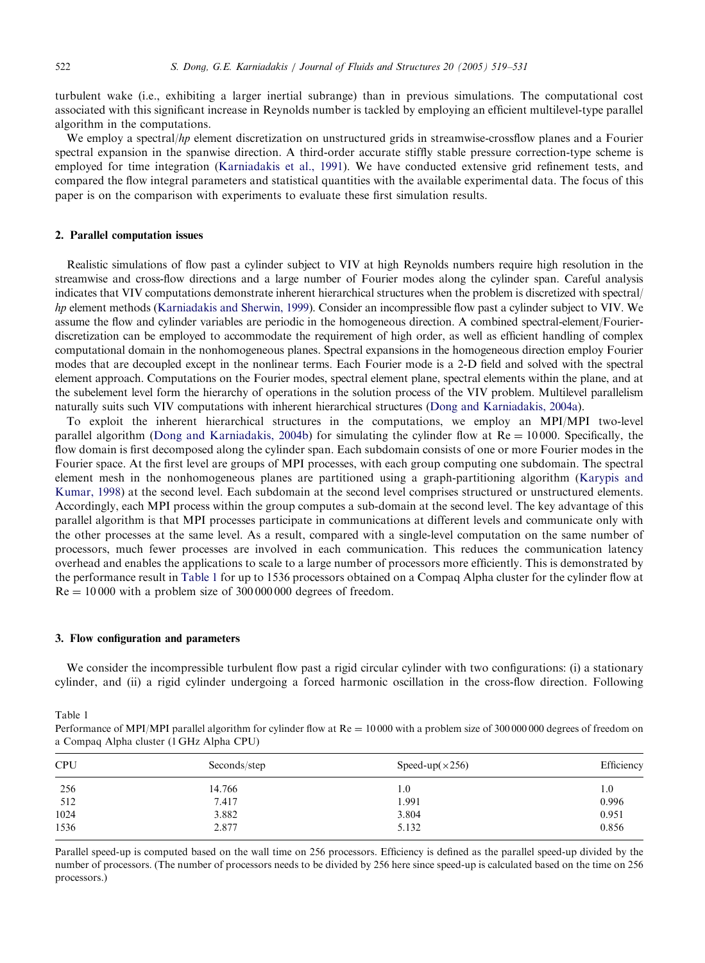turbulent wake (i.e., exhibiting a larger inertial subrange) than in previous simulations. The computational cost associated with this significant in[crease](#page-11-0) [in](#page-11-0) [Reynolds](#page-11-0) [numbe](#page-11-0)r is tackled by employing an efficient multilevel-type parallel algorithm in the computations.

We employ a spectral/hp element discretization on unstructured grids in streamwise-crossflow planes and a Fourier spectral expansion in the spanwise direction. A third-order accurate stiffly stable pressure correction-type scheme is employed for time integration (Karniadakis et al., 1991). We have conducted extensive grid refinement tests, and compared the flow integral parameters and statistical quantities with the available experimental data. The focus of this paper is on the comparison with experiments to evaluate these first simulation results.

## 2. Parallel computa[tion issues](#page-11-0)

Realistic simulations of flow past a cylinder subject to VIV at high Reynolds numbers require high resolution in the streamwise and cross-flow directions and a large number of Fourier modes along the cylinder span. Careful analysis indicates that VIV computations demonstrate inherent hierarchical structures when the problem is discretized with spectral/ hp element methods (Karniadakis and Sherwin, 1999). Consider an incompressible flow past a cylinder subject to VIV. We assume the flow and cylinder variables are periodic in the homogeneous direction. A combined spectral-element/Fourierdiscretization can be employed to accommodate the requirement of high order, as well as efficient handling of complex computational domain in the nonhomogeneous planes. Spectral expansions i[n](#page-11-0) [the](#page-11-0) [homogeneous](#page-11-0) [direction](#page-11-0) [em](#page-11-0)ploy Fourier modes that are decoupled except in the nonlinear terms. Each Fourier mode is a 2-D field and solved with the spectral element approach. [Computations](#page-11-0) [on](#page-11-0) [the](#page-11-0) [Fourier](#page-11-0) [mo](#page-11-0)des, spectral element plane, spectral elements within the plane, and at the subelement level form the hierarchy of operations in the solution process of the VIV problem. Multilevel parallelism naturally suits such VIV computations with inherent hierarchical structures (Dongand Karniadakis, 2004a).

To exploit the inherent hierarchical structures in the computations, we employ an MPI/M[PI](#page-11-0) [two-level](#page-11-0) [parallel](#page-11-0) [algor](#page-11-0)ithm (Dong and Karniadakis, 2004b) for simulating the cylinder flow at  $Re = 10000$ . Specifically, the flow domain is first decomposed along the cylinder span. Each subdomain consists of one or more Fourier modes in the Fourier space. At the first level are groups of MPI processes, with each group computing one subdomain. The spectral element mesh in the nonhomogeneous planes are partitioned using a graph-partitioning algorithm (Karypis and Kumar, 1998) at the second level. Each subdomain at the second level comprises structured or unstructured elements. Accordingly, each MPI process within the group computes a sub-domain at the second level. The key advantage of this parallel algorithm is that MPI processes participate in communications at different levels and communicate only with the other processes at the same level. As a result, compared with a single-level computation on the same number of processors, much fewer processes are involved in each communication. This reduces the communication latency overhead and enables the applications to scale to a large number of processors more efficiently. This is demonstrated by the performance result in Table 1 for up to 1536 processors obtained on a Compaq Alpha cluster for the cylinder flow at  $Re = 10000$  with a problem size of 300 000 000 degrees of freedom.

#### 3. Flow configuration and parameters

We consider the incompressible turbulent flow past a rigid circular cylinder with two configurations: (i) a stationary cylinder, and (ii) a rigid cylinder undergoing a forced harmonic oscillation in the cross-flow direction. Following

Table 1

| Performance of MPI/MPI parallel algorithm for cylinder flow at $Re = 10000$ with a problem size of 300 000 000 degrees of freedom on |  |
|--------------------------------------------------------------------------------------------------------------------------------------|--|
| a Compaq Alpha cluster (1 GHz Alpha CPU)                                                                                             |  |

| <b>CPU</b> | Seconds/step | Speed-up( $\times$ 256) | Efficiency |
|------------|--------------|-------------------------|------------|
| 256        | 14.766       | 1.0                     | 1.0        |
| 512        | 7.417        | 1.991                   | 0.996      |
| 1024       | 3.882        | 3.804                   | 0.951      |
| 1536       | 2.877        | 5.132                   | 0.856      |

Parallel speed-up is computed based on the wall time on 256 processors. Efficiency is defined as the parallel speed-up divided by the number of processors. (The number of processors needs to be divided by 256 here since speed-up is calculated based on the time on 256 processors.)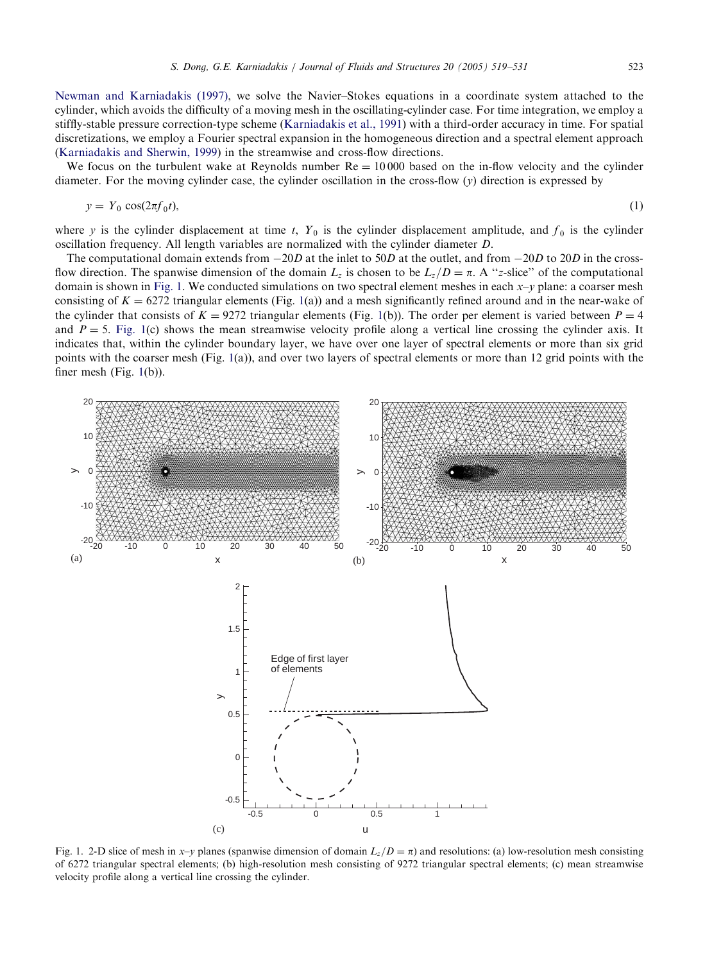[Newman](#page-11-0) [and](#page-11-0) [Karniadakis](#page-11-0) [\(199](#page-11-0)7), we solve the Navier–Stokes equations in a coordinate system attached to the cylinder, which avoids the difficulty of a moving mesh in the oscillating-cylinder case. For time integration, we employ a stiffly-stable pressure correction-type scheme (Karniadakis et al., 1991) with a third-order accuracy in time. For spatial discretizations, we employ a Fourier spectral expansion in the homogeneous direction and a spectral element approach (Karniadakis and Sherwin, 1999) in the streamwise and cross-flow directions.

We focus on the turbulent wake at Reynolds number  $Re = 10000$  based on the in-flow velocity and the cylinder diameter. For the moving cylinder case, the cylinder oscillation in the cross-flow  $(y)$  direction is expressed by

$$
y = Y_0 \cos(2\pi f_0 t),\tag{1}
$$

where y is the cylinder displacement at time t,  $Y_0$  is the cylinder displacement amplitude, and  $f_0$  is the cylinder oscillation frequency. All length variables are normalized with the cylinder diameter D.

The computational domain extends from  $-20D$  at the inlet to 50D at the outlet, and from  $-20D$  to 20D in the crossflow direction. The spanwise dimension of the domain  $L_z$  is chosen to be  $L_z/D = \pi$ . A "z-slice" of the computational domain is shown in Fig. 1. We conducted simulations on two spectral element meshes in each  $x-y$  plane: a coarser mesh consisting of  $K = 6272$  triangular elements (Fig. 1(a)) and a mesh significantly refined around and in the near-wake of the cylinder that consists of  $K = 9272$  triangular elements (Fig. 1(b)). The order per element is varied between  $P = 4$ and  $P = 5$ . Fig. 1(c) shows the mean streamwise velocity profile along a vertical line crossing the cylinder axis. It indicates that, within the cylinder boundary layer, we have over one layer of spectral elements or more than six grid points with the coarser mesh (Fig. 1(a)), and over two layers of spectral elements or more than 12 grid points with the finer mesh (Fig. 1(b)).



Fig. 1. 2-D slice of mesh in x–y planes (spanwise dimension of domain  $L_z/D = \pi$ ) and resolutions: (a) low-resolution mesh consisting of 6272 triangular spectral elements; (b) high-resolution mesh consisting of 9272 triangular spectral elements; (c) mean streamwise velocity profile along a vertical line crossing the cylinder.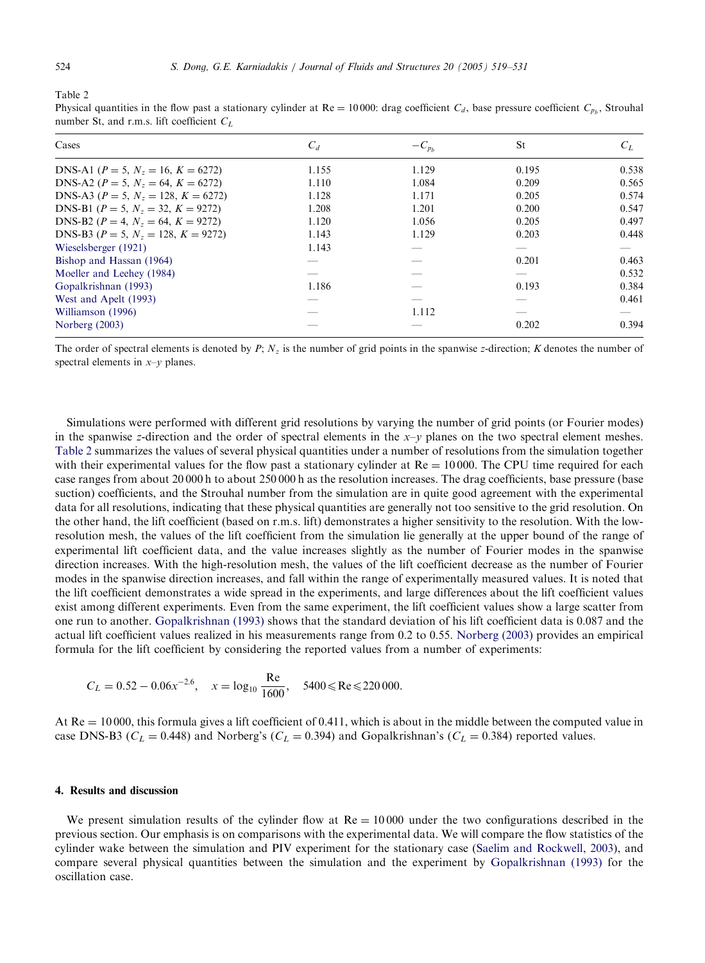Table 2

Physical quantities in the flow past a stationary cylinder at  $Re = 10000$ : drag coefficient  $C_d$ , base pressure coefficient  $C_{p<sub>b</sub>}$ , Strouhal number St, and r.m.s. lift coefficient  $C_L$ 

| Cases                                         | $C_d$ | $-C_{p_b}$ | St    | $C_L$ |
|-----------------------------------------------|-------|------------|-------|-------|
| DNS-A1 ( $P = 5$ , $N_z = 16$ , $K = 6272$ )  | 1.155 | 1.129      | 0.195 | 0.538 |
| DNS-A2 ( $P = 5$ , $N_z = 64$ , $K = 6272$ )  | 1.110 | 1.084      | 0.209 | 0.565 |
| DNS-A3 ( $P = 5$ , $N_z = 128$ , $K = 6272$ ) | 1.128 | 1.171      | 0.205 | 0.574 |
| DNS-B1 ( $P = 5$ , $N_z = 32$ , $K = 9272$ )  | 1.208 | 1.201      | 0.200 | 0.547 |
| DNS-B2 ( $P = 4$ , $N_z = 64$ , $K = 9272$ )  | 1.120 | 1.056      | 0.205 | 0.497 |
| DNS-B3 ( $P = 5$ , $N_z = 128$ , $K = 9272$ ) | 1.143 | 1.129      | 0.203 | 0.448 |
| Wieselsberger (1921)                          | 1.143 |            |       |       |
| Bishop and Hassan (1964)                      |       |            | 0.201 | 0.463 |
| Moeller and Leehey (1984)                     |       |            |       | 0.532 |
| Gopalkrishnan (1993)                          | 1.186 |            | 0.193 | 0.384 |
| West and Apelt (1993)                         |       |            |       | 0.461 |
| Williamson (1996)                             |       | 1.112      |       |       |
| Norberg (2003)                                |       |            | 0.202 | 0.394 |

The order of spectral elements is denoted by  $P$ ;  $N_z$  is the number of grid points in the spanwise z-direction; K denotes the number of spectral elements in  $x-y$  planes.

Simulations were performed with different grid resolutions by varying the number of grid points (or Fourier modes) in the spanwise z-direction and the order of spectral elements in the  $x-y$  planes on the two spectral element meshes. Table 2 summarizes the values of several physical quantities under a number of resolutions from the simulation together with their experimental values for the flow past a stationary cylinder at  $Re = 10000$ . The CPU time required for each case ranges from about 20 000 h to about 250 000 h as the resolution increases. The drag coefficients, base pressure (base suction) coefficients, and the Strouhal number from the simulation are in quite good agreement with the experimental data for all resolutions, indicating that these physical quantities are generally not too sensitive to the grid resolution. On the other hand, the lift coefficient (based on r.m.s. lift) demonstrates a higher sensitivity to the resolution. With the lowresolution mesh, the values of the lift coefficient from the simulation lie generally at the upper bound of the range of experimental lift coefficient data, and the value increases slightly as the number of Fourier modes in the spanwise direction increases. [With](#page-11-0) [the](#page-11-0) [high-resolutio](#page-11-0)n mesh, the values of the lift coefficient decrease as the number of Fourier modes in the spanwise direction increases, and fall within the range of experime[ntally](#page-11-0) [measured](#page-11-0) [v](#page-11-0)alues. It is noted that the lift coefficient demonstrates a wide spread in the experiments, and large differences about the lift coefficient values exist among different experiments. Even from the same experiment, the lift coefficient values show a large scatter from one run to another. Gopalkrishnan (1993) shows that the standard deviation of his lift coefficient data is 0:087 and the actual lift coefficient values realized in his measurements range from 0.2 to 0.55. Norberg (2003) provides an empirical formula for the lift coefficient by considering the reported values from a number of experiments:

$$
C_L = 0.52 - 0.06x^{-2.6}
$$
,  $x = \log_{10} \frac{\text{Re}}{1600}$ ,  $5400 \le \text{Re} \le 220000$ .

At  $Re = 10000$ , this formula gives a lift coefficient of 0.411, which is about in the middle between the computed value in case DNS-B3 ( $C_L = 0.448$ ) and Norberg's ( $C_L = 0.394$ ) and Gopalkrishnan's ( $C_L = 0.384$ ) reported values.

## 4. Results and discussion

We present simulation results of the cylinder flow at  $Re = 10000$  under the two configurations described in the previous section. Our emphasis is on comparisons with the experimental data. We will compare the flow statistics of the cylinder wake between the simulation and PIV experiment for the stationary case (Saelim and Rockwell, 2003), and compare several physical quantities between the simulation and the experiment by Gopalkrishnan (1993) for the oscillation case.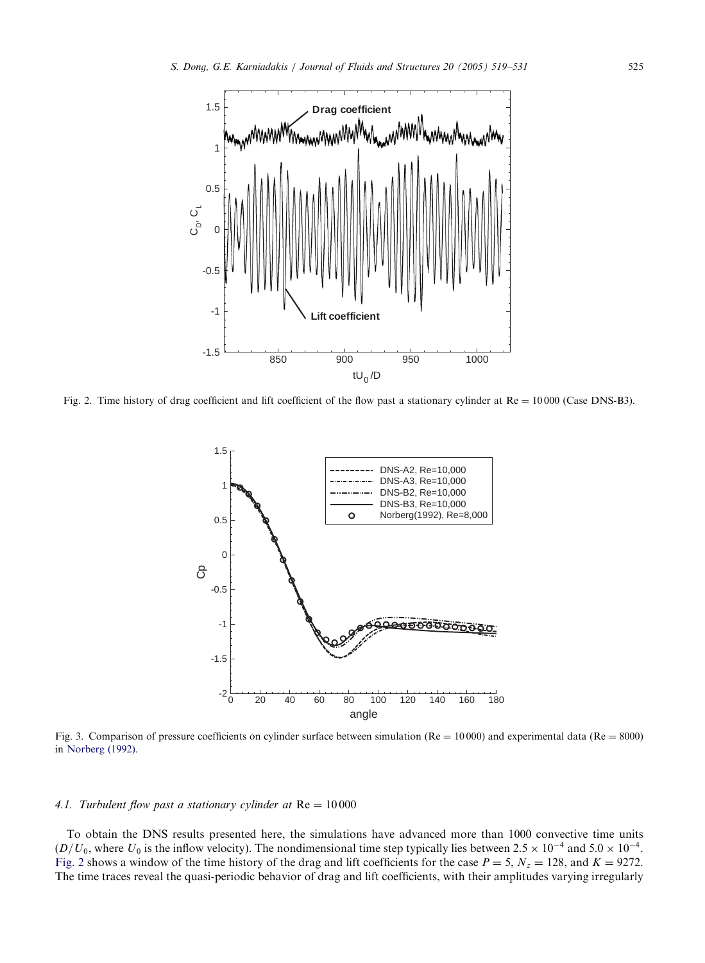<span id="page-6-0"></span>

Fig. 2. Time history of drag coefficient and lift coefficient of the flow past a stationary cylinder at  $Re = 10000$  (Case DNS-B3).



Fig. 3. Comparison of pressure coefficients on cylinder surface between simulation ( $Re = 10000$ ) and experimental data ( $Re = 8000$ ) in Norberg (1992).

## 4.1. Turbulent flow past a stationary cylinder at  $Re = 10000$

To obtain the DNS results presented here, the simulations have advanced more than 1000 convective time units  $(D/U_0)$ , where  $U_0$  is the inflow velocity). The nondimensional time step typically lies between 2.5  $\times$  10<sup>-4</sup> and 5.0  $\times$  10<sup>-4</sup>. Fig. 2 shows a window of the time history of the drag and lift coefficients for the case  $P = 5$ ,  $N_z = 128$ , and  $K = 9272$ . The time traces reveal the quasi-periodic behavior of drag and lift coefficients, with their amplitudes varying irregularly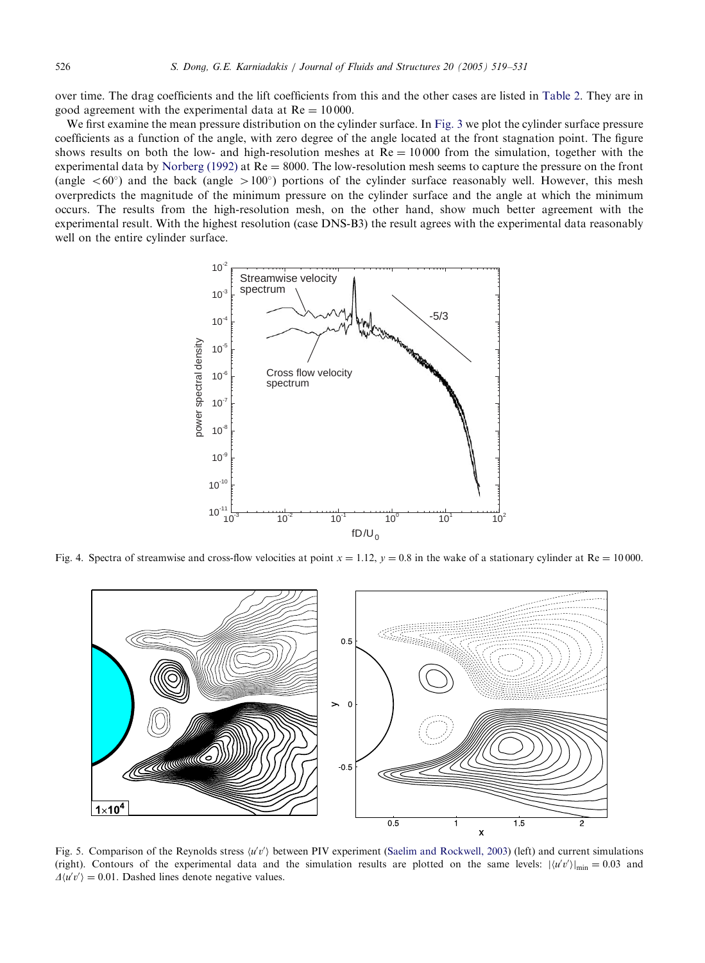<span id="page-7-0"></span>over time. The dragcoefficients and the lift coefficients from this and the other cases are listed in Table 2. They are in good agreement with [the](#page-11-0) [experiment](#page-11-0)al data at  $Re = 10000$ .

We first examine the mean pressure distribution on the cylinder surface. In Fig. 3 we plot the cylinder surface pressure coefficients as a function of the angle, with zero degree of the angle located at the front stagnation point. The figure shows results on both the low- and high-resolution meshes at  $Re = 10000$  from the simulation, together with the experimental data by Norberg (1992) at  $Re = 8000$ . The low-resolution mesh seems to capture the pressure on the front (angle  $<60^\circ$ ) and the back (angle  $>100^\circ$ ) portions of the cylinder surface reasonably well. However, this mesh overpredicts the magnitude of the minimum pressure on the cylinder surface and the angle at which the minimum occurs. The results from the high-resolution mesh, on the other hand, show much better agreement with the experimental result. With the highest resolution (case DNS-B3) the result agrees with the experimental data reasonably well on the entire cylinder surface.



Fig. 4. Spectra of streamwise and cross-flow velocities at point  $x = 1.12$ ,  $y = 0.8$  in the wake of a stationary cylinder at Re = 10000.



Fig. 5. Comparison of the Reynolds stress  $\langle u'v' \rangle$  between PIV experiment (Saelim and Rockwell, 2003) (left) and current simulations (right). Contours of the experimental data and the simulation results are plotted on the same levels:  $|\langle u'v' \rangle|_{\text{min}} = 0.03$  and  $\Delta \langle u'v' \rangle = 0.01$ . Dashed lines denote negative values.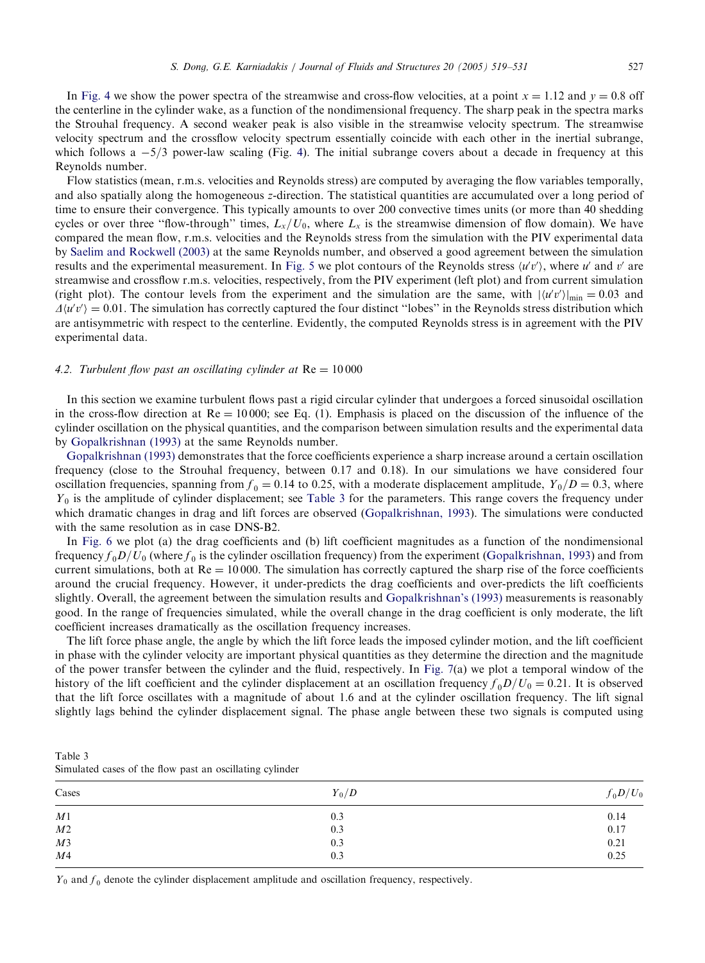In Fig. 4 we show the power spectra of the st[rea](#page-7-0)mwise and cross-flow velocities, at a point  $x = 1.12$  and  $y = 0.8$  off the centerline in the cylinder wake, as a function of the nondimensional frequency. The sharp peak in the spectra marks the Strouhal frequency. A second weaker peak is also visible in the streamwise velocity spectrum. The streamwise velocity spectrum and the crossflow velocity spectrum essentially coincide with each other in the inertial subrange, which follows a  $-5/3$  power-law scaling (Fig. 4). The initial subrange covers about a decade in frequency at this Reynolds number.

Flow statistics (mean, r.m.s. velocities and Reynolds stress) are computed by averaging the flow variables temporally, an[d](#page-11-0) [also](#page-11-0) [spatially](#page-11-0) along the [hom](#page-11-0)ogeneous z-direction. The statistical quantities are accumulated over a long period of time to ensure their convergence. This typicall[y](#page-7-0) [amo](#page-7-0)unts to over 200 convective times units (or more than 40 shedding cycles or over three "flow-through" times,  $L_x/U_0$ , where  $L_x$  is the streamwise dimension of flow domain). We have compared the mean flow, r.m.s. velocities and the Reynolds stress from the simulation with the PIV experimental data by Saelim and Rockwell (2003) at the same Reynolds number, and observed a good agreement between the simulation results and the experimental measurement. In Fig. 5 we plot contours of the Reynolds stress  $\langle u'v' \rangle$ , where u' and v' are streamwise and crossflow r.m.s. velocities, respectively, from the PIV experiment (left plot) and from current simulation (right plot). The contour levels from the experiment and the simulation are the same, with  $|\langle u'v' \rangle|_{min} = 0.03$  and  $\Delta\langle u'v'\rangle = 0.01$ . The simulation has correctly captured the four distinct "lobes" in the Reynolds stress distribution which are antisymmetric with respect to the centerline. Evidently, the computed Reynolds stress is in agreement with the PIV experimental data.

#### 4.2[. Turbulent flow past a](#page-11-0)n oscillating cylinder at  $Re = 10000$

[In](#page-11-0) [this](#page-11-0) [section](#page-11-0) [we](#page-11-0) [exam](#page-11-0)ine turbulent flows past a rigid circular cylinder that undergoes a forced sinusoidal oscillation in the cross-flow direction at  $Re = 10000$ ; see Eq. (1). Emphasis is placed on the discussion of the influence of the cylinder oscillation on the physical quantities, and the comparison between simulation results and the experimental data by Gopalkrishnan (1993) at the same Reynolds number.

Gopalkrishnan (1993) demonstrates that the force coefficien[ts](#page-11-0) [experience](#page-11-0) [a](#page-11-0) [sharp](#page-11-0) [in](#page-11-0)crease around a certain oscillation frequency (close to the Strouhal frequency, between 0:17 and 0:18). In our simulations we have considered four oscill[ation](#page-9-0) [f](#page-9-0)requencies, spanning from  $f_0 = 0.14$  to 0.25, with a moderate displacement amplitude,  $Y_0/D = 0.3$ , where  $Y_0$  is the amplitude of cylinder displacement; see Table 3 for the parameters. This ra[nge](#page-11-0) [covers](#page-11-0) [the](#page-11-0) [freque](#page-11-0)ncy under which dramatic changes in drag and lift forces are observed (Gopalkrishnan, 1993). The simulations were conducted with the same resolution as in case DNS-B2.

In Fig. 6 we plot (a) the drag coefficie[nt](#page-11-0)s and (b) lift coefficient [magnitudes](#page-11-0) [as](#page-11-0) [a](#page-11-0) [func](#page-11-0)tion of the nondimensional frequency  $f_0D/U_0$  (where  $f_0$  is the cylinder oscillation frequency) from the experiment (Gopalkrishnan, 1993) and from current simulations, both at  $Re = 10000$ . The simulation has correctly captured the sharp rise of the force coefficients around the crucial frequency. However, it under-predicts the dragcoefficients and over-predicts the lift coefficients slightly. Overall, the agreement between the simulation results and Gopalkrishnan's (1993) measurements is reasonably good. In the range of frequencies simulated, while the overall change in t[he](#page-9-0) [dra](#page-9-0)g coefficient is only moderate, the lift coefficient increases dramatically as the oscillation frequency increases.

The lift force phase angle, the angle by which the lift force leads the imposed cylinder motion, and the lift coefficient in phase with the cylinder velocity are important physical quantities as they determine the direction and the magnitude of the power transfer between the cylinder and the fluid, respectively. In Fig. 7(a) we plot a temporal window of the history of the lift coefficient and the cylinder displacement at an oscillation frequency  $f_0D/U_0 = 0.21$ . It is observed that the lift force oscillates with a magnitude of about 1.6 and at the cylinder oscillation frequency. The lift signal slightly lags behind the cylinder displacement signal. The phase angle between these two signals is computed using

Table 3 Simulated cases of the flow past an oscillating cylinder

| Cases          | $Y_0/D$ | $f_0 D/U_0$                                 |
|----------------|---------|---------------------------------------------|
| $\mathcal{M}1$ | 0.3     | 0.14                                        |
| $\cal M2$      | 0.3     | 0.17                                        |
| M3             | 0.3     |                                             |
| M <sub>4</sub> | 0.3     | $\begin{array}{c} 0.21 \\ 0.25 \end{array}$ |

 $Y_0$  and  $f_0$  denote the cylinder displacement amplitude and oscillation frequency, respectively.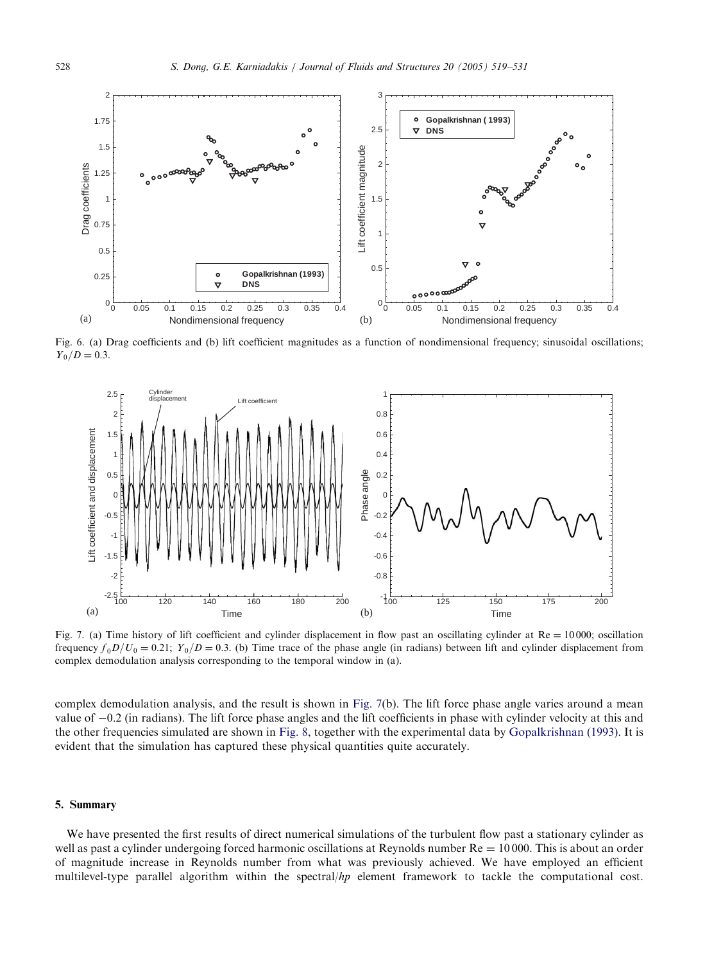<span id="page-9-0"></span>

Fig. 6. (a) Drag coefficients and (b) lift coefficient magnitudes as a function of nondimensional frequency; sinusoidal oscillations;  $Y_0/D = 0.3.$ 



Fig. 7. (a) Time history of lift coefficient and cylinder displacement in flow past an oscillating cylinder at  $Re = 10000$ ; oscillation frequency  $f_0 D/U_0 = 0.21$ ;  $Y_0/D = 0.3$ . (b) Time trace of the phase angle (in radians) between lift and cylinder displacement from complex demodulation analysis corresponding to [the tem](#page-10-0)poral window in (a).

complex demodulation analysis, and the result is shown in Fig. 7(b). The lift force phase angle varies around a mean value of  $-0.2$  (in radians). The lift force phase angles and the lift coefficients in phase with cylinder velocity at this and the other frequencies simulated are shown in Fig. 8, together with the experimental data by Gopalkrishnan (1993). It is evident that the simulation has captured these physical quantities quite accurately.

## 5. Summary

We have presented the first results of direct numerical simulations of the turbulent flow past a stationary cylinder as well as past a cylinder undergoing forced harmonic oscillations at Reynolds number  $Re = 10000$ . This is about an order of magnitude increase in Reynolds number from what was previously achieved. We have employed an efficient multilevel-type parallel algorithm within the spectral/hp element framework to tackle the computational cost.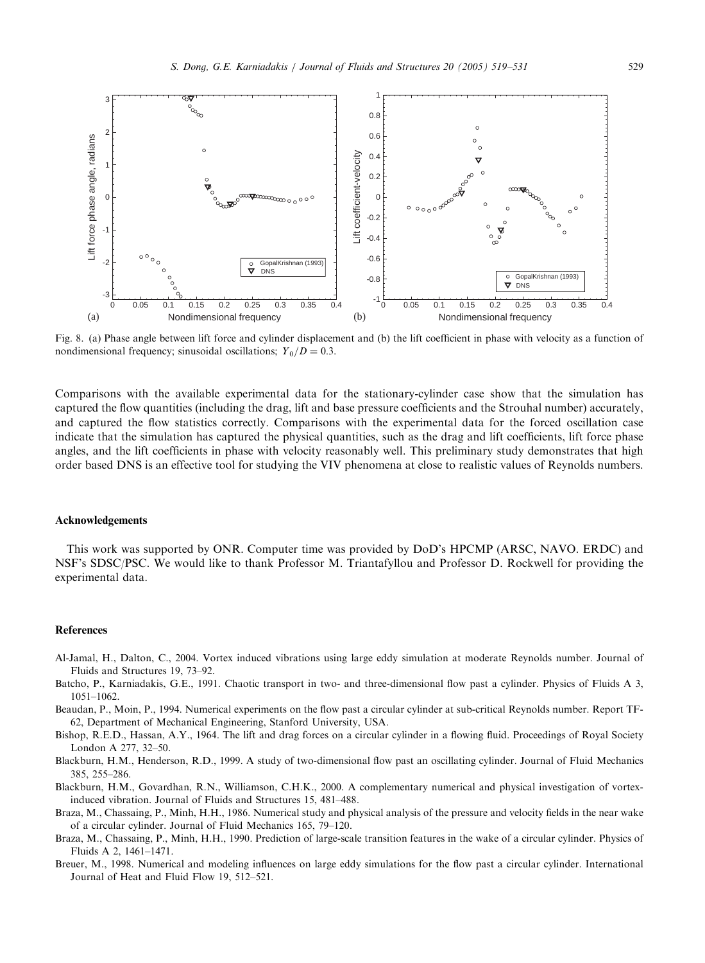<span id="page-10-0"></span>

Fig. 8. (a) Phase angle between lift force and cylinder displacement and (b) the lift coefficient in phase with velocity as a function of nondimensional frequency; sinusoidal oscillations;  $Y_0/D = 0.3$ .

Comparisons with the available experimental data for the stationary-cylinder case show that the simulation has captured the flow quantities (including the drag, lift and base pressure coefficients and the Strouhal number) accurately, and captured the flow statistics correctly. Comparisons with the experimental data for the forced oscillation case indicate that the simulation has captured the physical quantities, such as the dragand lift coefficients, lift force phase angles, and the lift coefficients in phase with velocity reasonably well. This preliminary study demonstrates that high order based DNS is an effective tool for studying the VIV phenomena at close to realistic values of Reynolds numbers.

#### Acknowledgements

This work was supported by ONR. Computer time was provided by DoD's HPCMP (ARSC, NAVO. ERDC) and NSF's SDSC/PSC. We would like to thank Professor M. Triantafyllou and Professor D. Rockwell for providing the experimental data.

#### References

- Al-Jamal, H., Dalton, C., 2004. Vortex induced vibrations usinglarge eddy simulation at moderate Reynolds number. Journal of Fluids and Structures 19, 73–92.
- Batcho, P., Karniadakis, G.E., 1991. Chaotic transport in two- and three-dimensional flow past a cylinder. Physics of Fluids A 3, 1051–1062.
- Beaudan, P., Moin, P., 1994. Numerical experiments on the flow past a circular cylinder at sub-critical Reynolds number. Report TF-62, Department of Mechanical Engineering, Stanford University, USA.
- Bishop, R.E.D., Hassan, A.Y., 1964. The lift and drag forces on a circular cylinder in a flowing fluid. Proceedings of Royal Society London A 277, 32–50.
- Blackburn, H.M., Henderson, R.D., 1999. A study of two-dimensional flow past an oscillating cylinder. Journal of Fluid Mechanics 385, 255–286.
- Blackburn, H.M., Govardhan, R.N., Williamson, C.H.K., 2000. A complementary numerical and physical investigation of vortexinduced vibration. Journal of Fluids and Structures 15, 481–488.
- Braza, M., Chassaing, P., Minh, H.H., 1986. Numerical study and physical analysis of the pressure and velocity fields in the near wake of a circular cylinder. Journal of Fluid Mechanics 165, 79–120.
- Braza, M., Chassaing, P., Minh, H.H., 1990. Prediction of large-scale transition features in the wake of a circular cylinder. Physics of Fluids A 2, 1461–1471.
- Breuer, M., 1998. Numerical and modeling influences on large eddy simulations for the flow past a circular cylinder. International Journal of Heat and Fluid Flow 19, 512–521.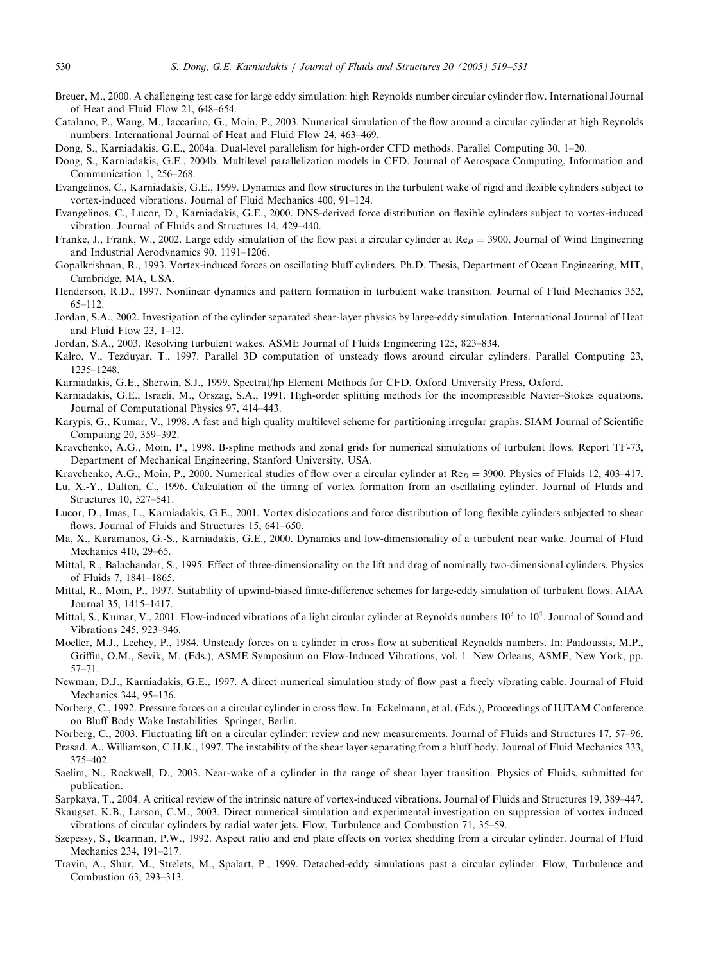- <span id="page-11-0"></span>Breuer, M., 2000. A challenging test case for large eddy simulation: high Reynolds number circular cylinder flow. International Journal of Heat and Fluid Flow 21, 648–654.
- Catalano, P., Wang, M., Iaccarino, G., Moin, P., 2003. Numerical simulation of the flow around a circular cylinder at high Reynolds numbers. International Journal of Heat and Fluid Flow 24, 463–469.
- Dong, S., Karniadakis, G.E., 2004a. Dual-level parallelism for high-order CFD methods. Parallel Computing 30, 1–20.

Dong, S., Karniadakis, G.E., 2004b. Multilevel parallelization models in CFD. Journal of Aerospace Computing, Information and Communication 1, 256–268.

- Evangelinos, C., Karniadakis, G.E., 1999. Dynamics and flow structures in the turbulent wake of rigid and flexible cylinders subject to vortex-induced vibrations. Journal of Fluid Mechanics 400, 91–124.
- Evangelinos, C., Lucor, D., Karniadakis, G.E., 2000. DNS-derived force distribution on flexible cylinders subject to vortex-induced vibration. Journal of Fluids and Structures 14, 429–440.
- Franke, J., Frank, W., 2002. Large eddy simulation of the flow past a circular cylinder at  $\text{Re}_D = 3900$ . Journal of Wind Engineering and Industrial Aerodynamics 90, 1191–1206.
- Gopalkrishnan, R., 1993. Vortex-induced forces on oscillating bluff cylinders. Ph.D. Thesis, Department of Ocean Engineering, MIT, Cambridge, MA, USA.
- Henderson, R.D., 1997. Nonlinear dynamics and pattern formation in turbulent wake transition. Journal of Fluid Mechanics 352, 65–112.
- Jordan, S.A., 2002. Investigation of the cylinder separated shear-layer physics by large-eddy simulation. International Journal of Heat and Fluid Flow 23, 1–12.
- Jordan, S.A., 2003. Resolving turbulent wakes. ASME Journal of Fluids Engineering 125, 823–834.
- Kalro, V., Tezduyar, T., 1997. Parallel 3D computation of unsteady flows around circular cylinders. Parallel Computing23, 1235–1248.
- Karniadakis, G.E., Sherwin, S.J., 1999. Spectral/hp Element Methods for CFD. Oxford University Press, Oxford.
- Karniadakis, G.E., Israeli, M., Orszag, S.A., 1991. High-order splitting methods for the incompressible Navier–Stokes equations. Journal of Computational Physics 97, 414–443.
- Karypis, G., Kumar, V., 1998. A fast and high quality multilevel scheme for partitioning irregular graphs. SIAM Journal of Scientific Computing 20, 359-392.
- Kravchenko, A.G., Moin, P., 1998. B-spline methods and zonal grids for numerical simulations of turbulent flows. Report TF-73, Department of Mechanical Engineering, Stanford University, USA.
- Kravchenko, A.G., Moin, P., 2000. Numerical studies of flow over a circular cylinder at  $Re_D = 3900$ . Physics of Fluids 12, 403–417.
- Lu, X.-Y., Dalton, C., 1996. Calculation of the timing of vortex formation from an oscillating cylinder. Journal of Fluids and Structures 10, 527–541.
- Lucor, D., Imas, L., Karniadakis, G.E., 2001. Vortex dislocations and force distribution of longflexible cylinders subjected to shear flows. Journal of Fluids and Structures 15, 641–650.
- Ma, X., Karamanos, G.-S., Karniadakis, G.E., 2000. Dynamics and low-dimensionality of a turbulent near wake. Journal of Fluid Mechanics 410, 29–65.
- Mittal, R., Balachandar, S., 1995. Effect of three-dimensionality on the lift and dragof nominally two-dimensional cylinders. Physics of Fluids 7, 1841–1865.
- Mittal, R., Moin, P., 1997. Suitability of upwind-biased finite-difference schemes for large-eddy simulation of turbulent flows. AIAA Journal 35, 1415–1417.
- Mittal, S., Kumar, V., 2001. Flow-induced vibrations of a light circular cylinder at Reynolds numbers  $10^3$  to  $10^4$ . Journal of Sound and Vibrations 245, 923–946.
- Moeller, M.J., Leehey, P., 1984. Unsteady forces on a cylinder in cross flow at subcritical Reynolds numbers. In: Paidoussis, M.P., Griffin, O.M., Sevik, M. (Eds.), ASME Symposium on Flow-Induced Vibrations, vol. 1. New Orleans, ASME, New York, pp. 57–71.
- Newman, D.J., Karniadakis, G.E., 1997. A direct numerical simulation study of flow past a freely vibratingcable. Journal of Fluid Mechanics 344, 95–136.
- Norberg, C., 1992. Pressure forces on a circular cylinder in cross flow. In: Eckelmann, et al. (Eds.), Proceedings of IUTAM Conference on Bluff Body Wake Instabilities. Springer, Berlin.
- Norberg, C., 2003. Fluctuating lift on a circular cylinder: review and new measurements. Journal of Fluids and Structures 17, 57–96.

Prasad, A., Williamson, C.H.K., 1997. The instability of the shear layer separatingfrom a bluff body. Journal of Fluid Mechanics 333, 375–402.

- Saelim, N., Rockwell, D., 2003. Near-wake of a cylinder in the range of shear layer transition. Physics of Fluids, submitted for publication.
- Sarpkaya, T., 2004. A critical review of the intrinsic nature of vortex-induced vibrations. Journal of Fluids and Structures 19, 389–447. Skaugset, K.B., Larson, C.M., 2003. Direct numerical simulation and experimental investigation on suppression of vortex induced

vibrations of circular cylinders by radial water jets. Flow, Turbulence and Combustion 71, 35–59.

- Szepessy, S., Bearman, P.W., 1992. Aspect ratio and end plate effects on vortex shedding from a circular cylinder. Journal of Fluid Mechanics 234, 191–217.
- Travin, A., Shur, M., Strelets, M., Spalart, P., 1999. Detached-eddy simulations past a circular cylinder. Flow, Turbulence and Combustion 63, 293–313.